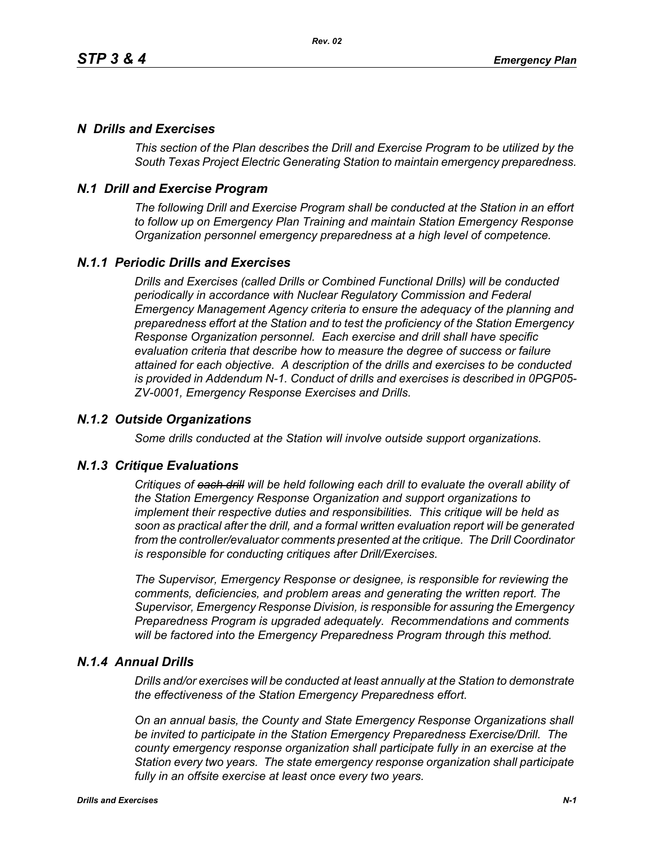# *N Drills and Exercises*

*This section of the Plan describes the Drill and Exercise Program to be utilized by the South Texas Project Electric Generating Station to maintain emergency preparedness.*

# *N.1 Drill and Exercise Program*

*The following Drill and Exercise Program shall be conducted at the Station in an effort to follow up on Emergency Plan Training and maintain Station Emergency Response Organization personnel emergency preparedness at a high level of competence.*

# *N.1.1 Periodic Drills and Exercises*

*Drills and Exercises (called Drills or Combined Functional Drills) will be conducted periodically in accordance with Nuclear Regulatory Commission and Federal Emergency Management Agency criteria to ensure the adequacy of the planning and preparedness effort at the Station and to test the proficiency of the Station Emergency Response Organization personnel. Each exercise and drill shall have specific evaluation criteria that describe how to measure the degree of success or failure attained for each objective. A description of the drills and exercises to be conducted is provided in Addendum N-1. Conduct of drills and exercises is described in 0PGP05- ZV-0001, Emergency Response Exercises and Drills.*

## *N.1.2 Outside Organizations*

*Some drills conducted at the Station will involve outside support organizations.* 

### *N.1.3 Critique Evaluations*

*Critiques of each drill will be held following each drill to evaluate the overall ability of the Station Emergency Response Organization and support organizations to implement their respective duties and responsibilities. This critique will be held as soon as practical after the drill, and a formal written evaluation report will be generated from the controller/evaluator comments presented at the critique. The Drill Coordinator is responsible for conducting critiques after Drill/Exercises.* 

*The Supervisor, Emergency Response or designee, is responsible for reviewing the comments, deficiencies, and problem areas and generating the written report. The Supervisor, Emergency Response Division, is responsible for assuring the Emergency Preparedness Program is upgraded adequately. Recommendations and comments will be factored into the Emergency Preparedness Program through this method.* 

### *N.1.4 Annual Drills*

*Drills and/or exercises will be conducted at least annually at the Station to demonstrate the effectiveness of the Station Emergency Preparedness effort.* 

*On an annual basis, the County and State Emergency Response Organizations shall be invited to participate in the Station Emergency Preparedness Exercise/Drill. The county emergency response organization shall participate fully in an exercise at the Station every two years. The state emergency response organization shall participate fully in an offsite exercise at least once every two years.*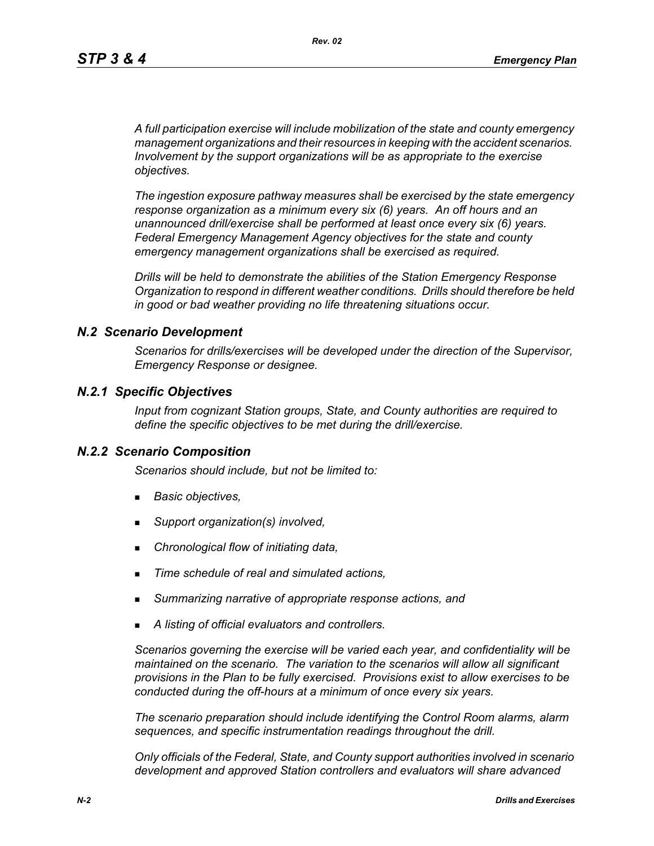*A full participation exercise will include mobilization of the state and county emergency management organizations and their resources in keeping with the accident scenarios. Involvement by the support organizations will be as appropriate to the exercise objectives.* 

*The ingestion exposure pathway measures shall be exercised by the state emergency response organization as a minimum every six (6) years. An off hours and an unannounced drill/exercise shall be performed at least once every six (6) years. Federal Emergency Management Agency objectives for the state and county emergency management organizations shall be exercised as required.*

*Drills will be held to demonstrate the abilities of the Station Emergency Response Organization to respond in different weather conditions. Drills should therefore be held in good or bad weather providing no life threatening situations occur.*

### *N.2 Scenario Development*

*Scenarios for drills/exercises will be developed under the direction of the Supervisor, Emergency Response or designee.* 

### *N.2.1 Specific Objectives*

*Input from cognizant Station groups, State, and County authorities are required to define the specific objectives to be met during the drill/exercise.*

#### *N.2.2 Scenario Composition*

*Scenarios should include, but not be limited to:*

- *Basic objectives,*
- *Support organization(s) involved,*
- *Chronological flow of initiating data,*
- *Time schedule of real and simulated actions,*
- *Summarizing narrative of appropriate response actions, and*
- *A listing of official evaluators and controllers.*

*Scenarios governing the exercise will be varied each year, and confidentiality will be maintained on the scenario. The variation to the scenarios will allow all significant provisions in the Plan to be fully exercised. Provisions exist to allow exercises to be conducted during the off-hours at a minimum of once every six years.*

*The scenario preparation should include identifying the Control Room alarms, alarm sequences, and specific instrumentation readings throughout the drill.*

*Only officials of the Federal, State, and County support authorities involved in scenario development and approved Station controllers and evaluators will share advanced*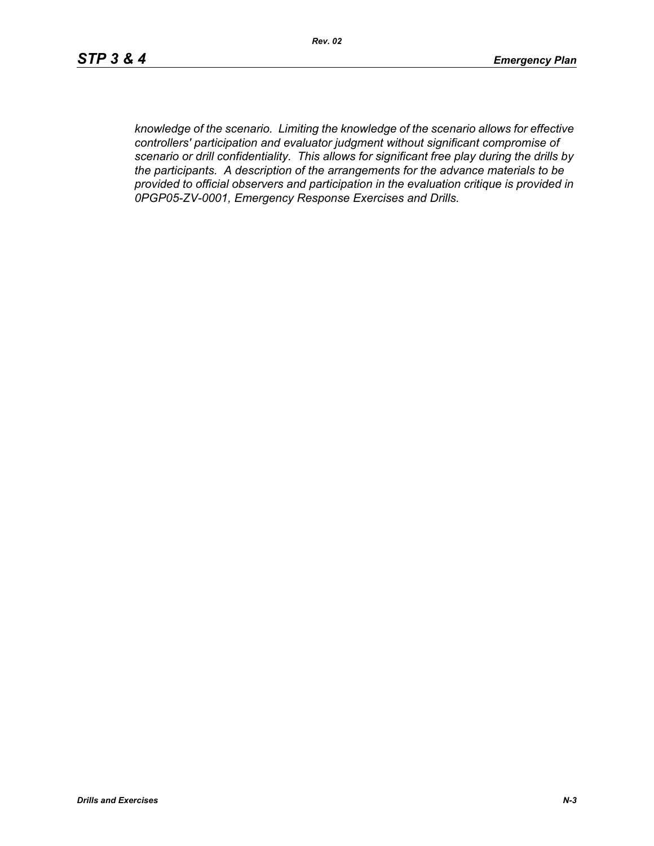*knowledge of the scenario. Limiting the knowledge of the scenario allows for effective controllers' participation and evaluator judgment without significant compromise of scenario or drill confidentiality. This allows for significant free play during the drills by the participants. A description of the arrangements for the advance materials to be provided to official observers and participation in the evaluation critique is provided in 0PGP05-ZV-0001, Emergency Response Exercises and Drills.*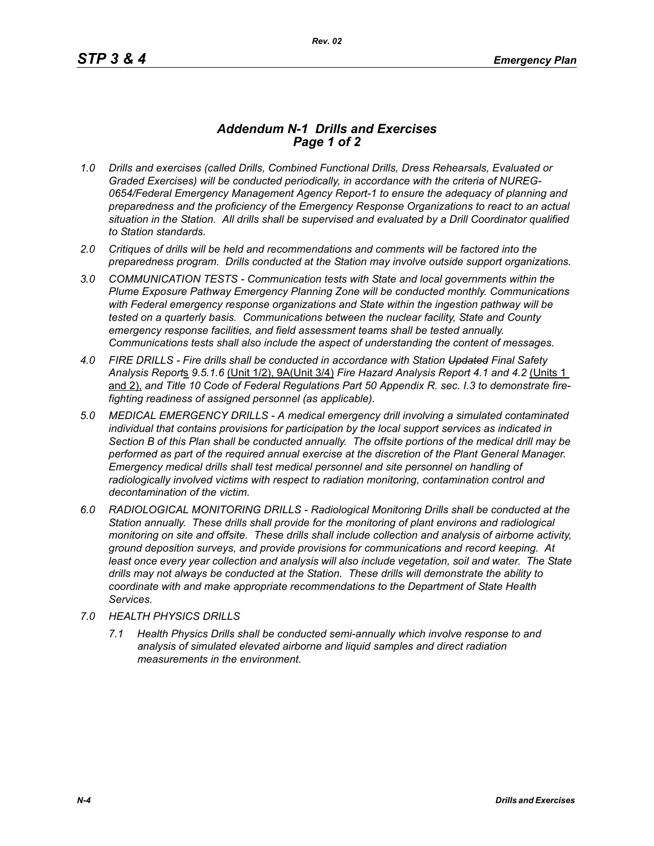## *Addendum N-1 Drills and Exercises Page 1 of 2*

- *1.0 Drills and exercises (called Drills, Combined Functional Drills, Dress Rehearsals, Evaluated or Graded Exercises) will be conducted periodically, in accordance with the criteria of NUREG-0654/Federal Emergency Management Agency Report-1 to ensure the adequacy of planning and preparedness and the proficiency of the Emergency Response Organizations to react to an actual situation in the Station. All drills shall be supervised and evaluated by a Drill Coordinator qualified to Station standards.*
- *2.0 Critiques of drills will be held and recommendations and comments will be factored into the preparedness program. Drills conducted at the Station may involve outside support organizations.*
- *3.0 COMMUNICATION TESTS Communication tests with State and local governments within the Plume Exposure Pathway Emergency Planning Zone will be conducted monthly. Communications with Federal emergency response organizations and State within the ingestion pathway will be tested on a quarterly basis. Communications between the nuclear facility, State and County emergency response facilities, and field assessment teams shall be tested annually. Communications tests shall also include the aspect of understanding the content of messages.*
- *4.0 FIRE DRILLS Fire drills shall be conducted in accordance with Station Updated Final Safety Analysis Report*s *9.5.1.6* (Unit 1/2), 9A(Unit 3/4) *Fire Hazard Analysis Report 4.1 and 4.2* (Units 1 and 2), *and Title 10 Code of Federal Regulations Part 50 Appendix R. sec. I.3 to demonstrate firefighting readiness of assigned personnel (as applicable).*
- *5.0 MEDICAL EMERGENCY DRILLS A medical emergency drill involving a simulated contaminated individual that contains provisions for participation by the local support services as indicated in Section B of this Plan shall be conducted annually. The offsite portions of the medical drill may be performed as part of the required annual exercise at the discretion of the Plant General Manager. Emergency medical drills shall test medical personnel and site personnel on handling of*  radiologically involved victims with respect to radiation monitoring, contamination control and *decontamination of the victim.*
- *6.0 RADIOLOGICAL MONITORING DRILLS Radiological Monitoring Drills shall be conducted at the Station annually. These drills shall provide for the monitoring of plant environs and radiological monitoring on site and offsite. These drills shall include collection and analysis of airborne activity, ground deposition surveys, and provide provisions for communications and record keeping. At*  least once every year collection and analysis will also include vegetation, soil and water. The State *drills may not always be conducted at the Station. These drills will demonstrate the ability to coordinate with and make appropriate recommendations to the Department of State Health Services.*
- *7.0 HEALTH PHYSICS DRILLS*
	- *7.1 Health Physics Drills shall be conducted semi-annually which involve response to and analysis of simulated elevated airborne and liquid samples and direct radiation measurements in the environment.*